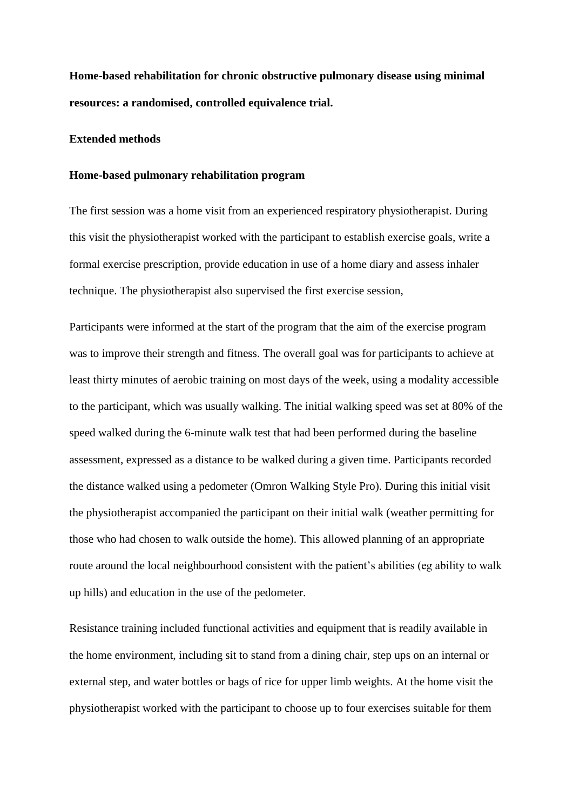**Home-based rehabilitation for chronic obstructive pulmonary disease using minimal resources: a randomised, controlled equivalence trial.** 

# **Extended methods**

#### **Home-based pulmonary rehabilitation program**

The first session was a home visit from an experienced respiratory physiotherapist. During this visit the physiotherapist worked with the participant to establish exercise goals, write a formal exercise prescription, provide education in use of a home diary and assess inhaler technique. The physiotherapist also supervised the first exercise session,

Participants were informed at the start of the program that the aim of the exercise program was to improve their strength and fitness. The overall goal was for participants to achieve at least thirty minutes of aerobic training on most days of the week, using a modality accessible to the participant, which was usually walking. The initial walking speed was set at 80% of the speed walked during the 6-minute walk test that had been performed during the baseline assessment, expressed as a distance to be walked during a given time. Participants recorded the distance walked using a pedometer (Omron Walking Style Pro). During this initial visit the physiotherapist accompanied the participant on their initial walk (weather permitting for those who had chosen to walk outside the home). This allowed planning of an appropriate route around the local neighbourhood consistent with the patient's abilities (eg ability to walk up hills) and education in the use of the pedometer.

Resistance training included functional activities and equipment that is readily available in the home environment, including sit to stand from a dining chair, step ups on an internal or external step, and water bottles or bags of rice for upper limb weights. At the home visit the physiotherapist worked with the participant to choose up to four exercises suitable for them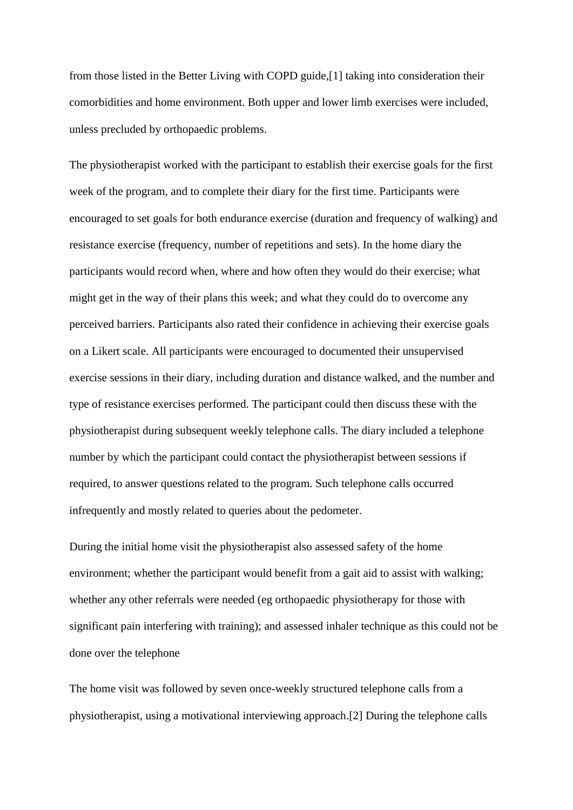from those listed in the Better Living with COPD guide,[1] taking into consideration their comorbidities and home environment. Both upper and lower limb exercises were included, unless precluded by orthopaedic problems.

The physiotherapist worked with the participant to establish their exercise goals for the first week of the program, and to complete their diary for the first time. Participants were encouraged to set goals for both endurance exercise (duration and frequency of walking) and resistance exercise (frequency, number of repetitions and sets). In the home diary the participants would record when, where and how often they would do their exercise; what might get in the way of their plans this week; and what they could do to overcome any perceived barriers. Participants also rated their confidence in achieving their exercise goals on a Likert scale. All participants were encouraged to documented their unsupervised exercise sessions in their diary, including duration and distance walked, and the number and type of resistance exercises performed. The participant could then discuss these with the physiotherapist during subsequent weekly telephone calls. The diary included a telephone number by which the participant could contact the physiotherapist between sessions if required, to answer questions related to the program. Such telephone calls occurred infrequently and mostly related to queries about the pedometer.

During the initial home visit the physiotherapist also assessed safety of the home environment; whether the participant would benefit from a gait aid to assist with walking; whether any other referrals were needed (eg orthopaedic physiotherapy for those with significant pain interfering with training); and assessed inhaler technique as this could not be done over the telephone

The home visit was followed by seven once-weekly structured telephone calls from a physiotherapist, using a motivational interviewing approach.[2] During the telephone calls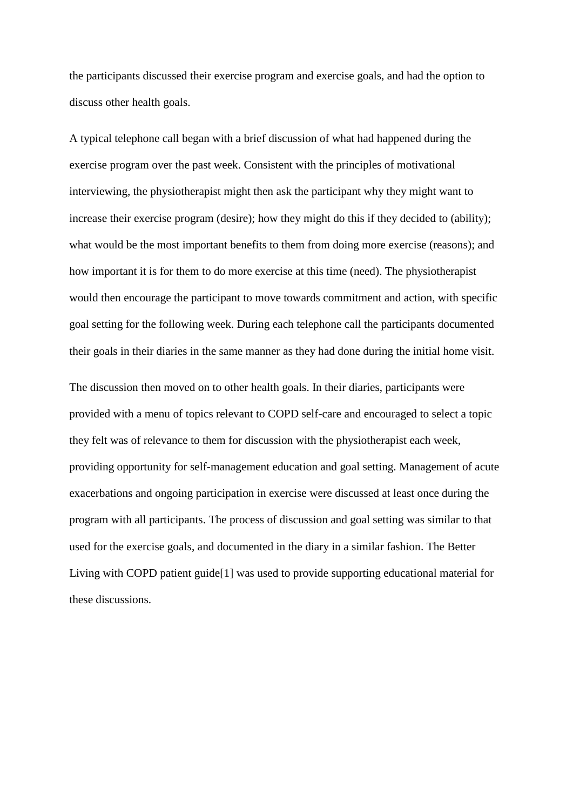the participants discussed their exercise program and exercise goals, and had the option to discuss other health goals.

A typical telephone call began with a brief discussion of what had happened during the exercise program over the past week. Consistent with the principles of motivational interviewing, the physiotherapist might then ask the participant why they might want to increase their exercise program (desire); how they might do this if they decided to (ability); what would be the most important benefits to them from doing more exercise (reasons); and how important it is for them to do more exercise at this time (need). The physiotherapist would then encourage the participant to move towards commitment and action, with specific goal setting for the following week. During each telephone call the participants documented their goals in their diaries in the same manner as they had done during the initial home visit.

The discussion then moved on to other health goals. In their diaries, participants were provided with a menu of topics relevant to COPD self-care and encouraged to select a topic they felt was of relevance to them for discussion with the physiotherapist each week, providing opportunity for self-management education and goal setting. Management of acute exacerbations and ongoing participation in exercise were discussed at least once during the program with all participants. The process of discussion and goal setting was similar to that used for the exercise goals, and documented in the diary in a similar fashion. The Better Living with COPD patient guide[1] was used to provide supporting educational material for these discussions.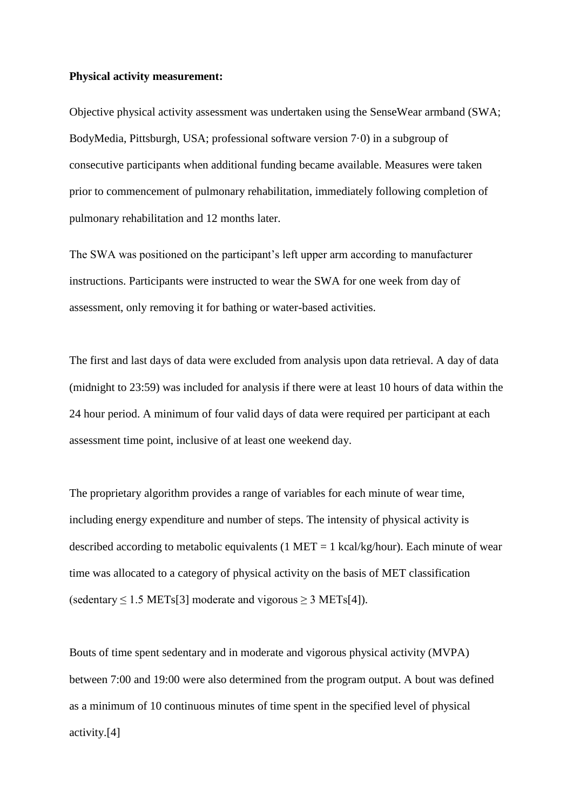#### **Physical activity measurement:**

Objective physical activity assessment was undertaken using the SenseWear armband (SWA; BodyMedia, Pittsburgh, USA; professional software version 7·0) in a subgroup of consecutive participants when additional funding became available. Measures were taken prior to commencement of pulmonary rehabilitation, immediately following completion of pulmonary rehabilitation and 12 months later.

The SWA was positioned on the participant's left upper arm according to manufacturer instructions. Participants were instructed to wear the SWA for one week from day of assessment, only removing it for bathing or water-based activities.

The first and last days of data were excluded from analysis upon data retrieval. A day of data (midnight to 23:59) was included for analysis if there were at least 10 hours of data within the 24 hour period. A minimum of four valid days of data were required per participant at each assessment time point, inclusive of at least one weekend day.

The proprietary algorithm provides a range of variables for each minute of wear time, including energy expenditure and number of steps. The intensity of physical activity is described according to metabolic equivalents (1 MET = 1 kcal/kg/hour). Each minute of wear time was allocated to a category of physical activity on the basis of MET classification (sedentary  $\leq 1.5$  METs[3] moderate and vigorous  $\geq 3$  METs[4]).

Bouts of time spent sedentary and in moderate and vigorous physical activity (MVPA) between 7:00 and 19:00 were also determined from the program output. A bout was defined as a minimum of 10 continuous minutes of time spent in the specified level of physical activity.[4]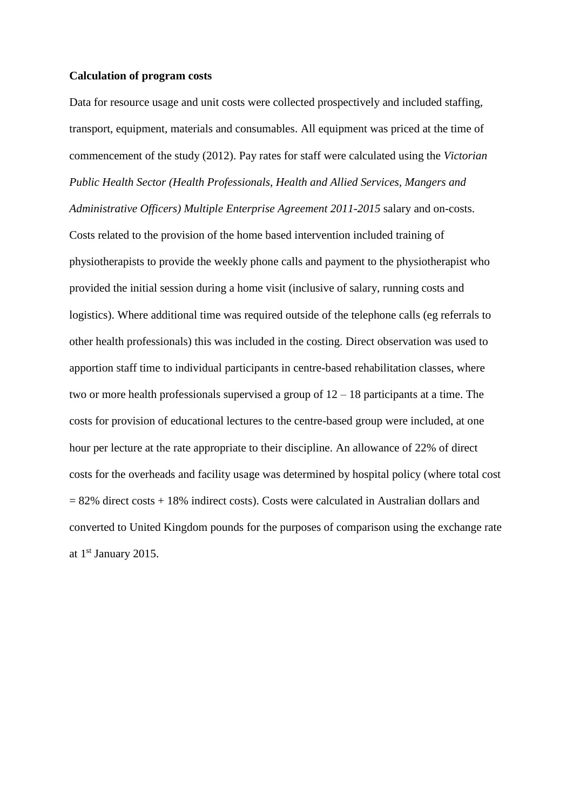#### **Calculation of program costs**

Data for resource usage and unit costs were collected prospectively and included staffing, transport, equipment, materials and consumables. All equipment was priced at the time of commencement of the study (2012). Pay rates for staff were calculated using the *Victorian Public Health Sector (Health Professionals, Health and Allied Services, Mangers and Administrative Officers) Multiple Enterprise Agreement 2011-2015* salary and on-costs. Costs related to the provision of the home based intervention included training of physiotherapists to provide the weekly phone calls and payment to the physiotherapist who provided the initial session during a home visit (inclusive of salary, running costs and logistics). Where additional time was required outside of the telephone calls (eg referrals to other health professionals) this was included in the costing. Direct observation was used to apportion staff time to individual participants in centre-based rehabilitation classes, where two or more health professionals supervised a group of  $12 - 18$  participants at a time. The costs for provision of educational lectures to the centre-based group were included, at one hour per lecture at the rate appropriate to their discipline. An allowance of 22% of direct costs for the overheads and facility usage was determined by hospital policy (where total cost  $= 82\%$  direct costs + 18% indirect costs). Costs were calculated in Australian dollars and converted to United Kingdom pounds for the purposes of comparison using the exchange rate at 1<sup>st</sup> January 2015.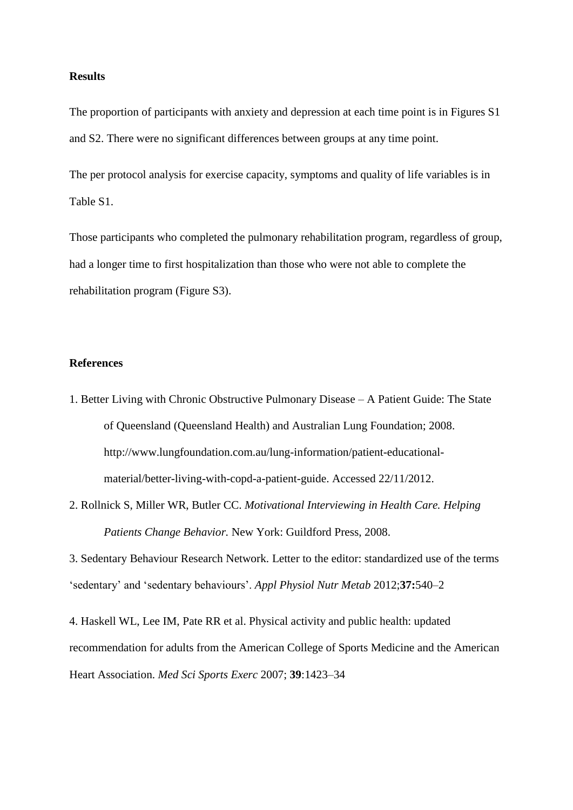### **Results**

The proportion of participants with anxiety and depression at each time point is in Figures S1 and S2. There were no significant differences between groups at any time point.

The per protocol analysis for exercise capacity, symptoms and quality of life variables is in Table S1.

Those participants who completed the pulmonary rehabilitation program, regardless of group, had a longer time to first hospitalization than those who were not able to complete the rehabilitation program (Figure S3).

## **References**

- 1. Better Living with Chronic Obstructive Pulmonary Disease A Patient Guide: The State of Queensland (Queensland Health) and Australian Lung Foundation; 2008. http://www.lungfoundation.com.au/lung-information/patient-educationalmaterial/better-living-with-copd-a-patient-guide. Accessed 22/11/2012.
- 2. Rollnick S, Miller WR, Butler CC. *Motivational Interviewing in Health Care. Helping Patients Change Behavior.* New York: Guildford Press, 2008.

3. Sedentary Behaviour Research Network. Letter to the editor: standardized use of the terms 'sedentary' and 'sedentary behaviours'. *Appl Physiol Nutr Metab* 2012;**37:**540–2

4. Haskell WL, Lee IM, Pate RR et al. Physical activity and public health: updated recommendation for adults from the American College of Sports Medicine and the American Heart Association. *Med Sci Sports Exerc* 2007; **39**:1423–34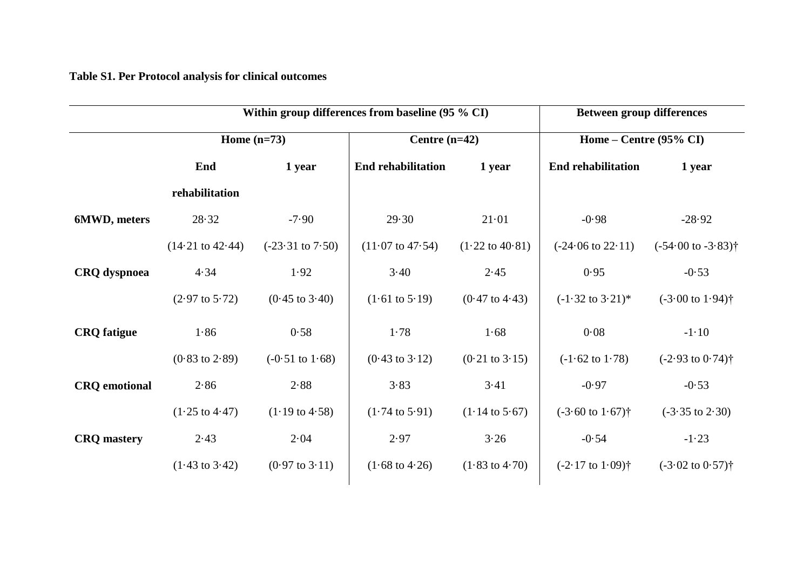**Table S1. Per Protocol analysis for clinical outcomes**

|                      |                             | Within group differences from baseline (95 % CI) | <b>Between group differences</b> |                            |                                   |                                           |
|----------------------|-----------------------------|--------------------------------------------------|----------------------------------|----------------------------|-----------------------------------|-------------------------------------------|
|                      | Home $(n=73)$               |                                                  | Centre $(n=42)$                  |                            | Home – Centre $(95\% \text{ CI})$ |                                           |
|                      | End                         | 1 year                                           | <b>End rehabilitation</b>        | 1 year                     | <b>End rehabilitation</b>         | 1 year                                    |
|                      | rehabilitation              |                                                  |                                  |                            |                                   |                                           |
| 6MWD, meters         | 28.32                       | $-7.90$                                          | 29.30                            | 21.01                      | $-0.98$                           | $-28.92$                                  |
|                      | $(14.21 \text{ to } 42.44)$ | $(-23.31 \text{ to } 7.50)$                      | $(11.07 \text{ to } 47.54)$      | $(1.22 \text{ to } 40.81)$ | $(-24.06 \text{ to } 22.11)$      | $(-54.00 \text{ to } -3.83)$ <sup>†</sup> |
| <b>CRQ</b> dyspnoea  | 4.34                        | 1.92                                             | 3.40                             | 2.45                       | 0.95                              | $-0.53$                                   |
|                      | $(2.97 \text{ to } 5.72)$   | $(0.45 \text{ to } 3.40)$                        | $(1.61 \text{ to } 5.19)$        | $(0.47 \text{ to } 4.43)$  | $(-1.32 \text{ to } 3.21)^*$      | $(-3.00 \text{ to } 1.94)$ <sup>†</sup>   |
| <b>CRQ</b> fatigue   | 1.86                        | 0.58                                             | 1.78                             | 1.68                       | 0.08                              | $-1.10$                                   |
|                      | $(0.83 \text{ to } 2.89)$   | $(-0.51 \text{ to } 1.68)$                       | $(0.43 \text{ to } 3.12)$        | $(0.21 \text{ to } 3.15)$  | $(-1.62 \text{ to } 1.78)$        | $(-2.93 \text{ to } 0.74)$ <sup>†</sup>   |
| <b>CRQ</b> emotional | 2.86                        | 2.88                                             | 3.83                             | 3.41                       | $-0.97$                           | $-0.53$                                   |
|                      | $(1.25 \text{ to } 4.47)$   | $(1.19 \text{ to } 4.58)$                        | $(1.74 \text{ to } 5.91)$        | $(1.14 \text{ to } 5.67)$  | $(-3.60 \text{ to } 1.67)$ †      | $(-3.35 \text{ to } 2.30)$                |
| <b>CRQ</b> mastery   | 2.43                        | 2.04                                             | 2.97                             | 3.26                       | $-0.54$                           | $-1.23$                                   |
|                      | $(1.43 \text{ to } 3.42)$   | $(0.97 \text{ to } 3.11)$                        | $(1.68 \text{ to } 4.26)$        | $(1.83 \text{ to } 4.70)$  | $(-2.17 \text{ to } 1.09)$ †      | $(-3.02 \text{ to } 0.57)$ <sup>†</sup>   |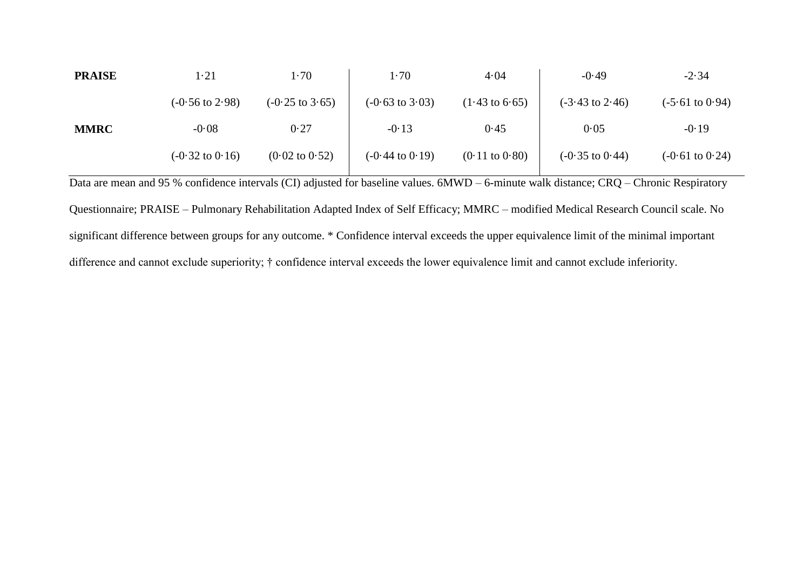| <b>PRAISE</b> | $1 - 21$                   | $1 - 70$                   | 1.70                       | 4.04                      | $-0.49$                    | $-2.34$                    |
|---------------|----------------------------|----------------------------|----------------------------|---------------------------|----------------------------|----------------------------|
|               | $(-0.56 \text{ to } 2.98)$ | $(-0.25 \text{ to } 3.65)$ | $(-0.63 \text{ to } 3.03)$ | $(1.43 \text{ to } 6.65)$ | $(-3.43 \text{ to } 2.46)$ | $(-5.61 \text{ to } 0.94)$ |
| <b>MMRC</b>   | $-0.08$                    | 0.27                       | $-0.13$                    | 0.45                      | 0.05                       | $-0.19$                    |
|               | $(-0.32 \text{ to } 0.16)$ | $(0.02 \text{ to } 0.52)$  | $(-0.44 \text{ to } 0.19)$ | $(0.11 \text{ to } 0.80)$ | $(-0.35 \text{ to } 0.44)$ | $(-0.61 \text{ to } 0.24)$ |

Data are mean and 95 % confidence intervals (CI) adjusted for baseline values. 6MWD – 6-minute walk distance; CRQ – Chronic Respiratory Questionnaire; PRAISE – Pulmonary Rehabilitation Adapted Index of Self Efficacy; MMRC – modified Medical Research Council scale. No significant difference between groups for any outcome. \* Confidence interval exceeds the upper equivalence limit of the minimal important difference and cannot exclude superiority;  $\dagger$  confidence interval exceeds the lower equivalence limit and cannot exclude inferiority.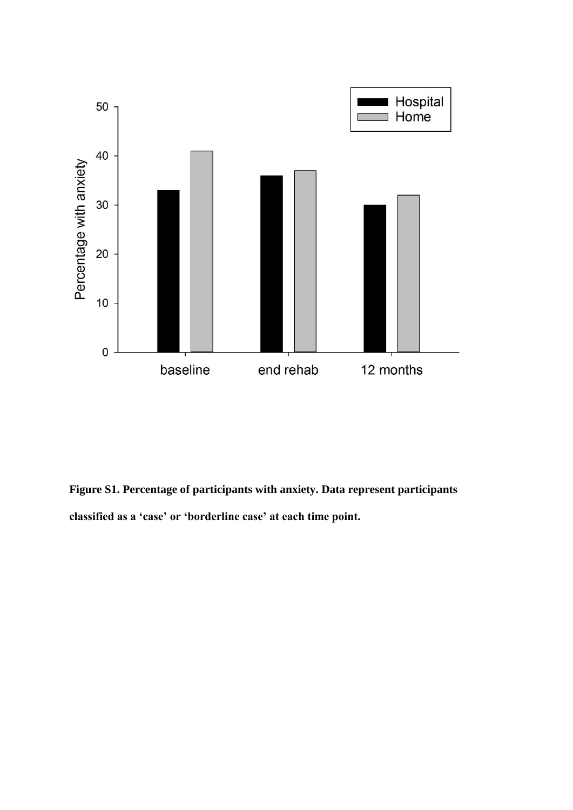

**Figure S1. Percentage of participants with anxiety. Data represent participants classified as a 'case' or 'borderline case' at each time point.**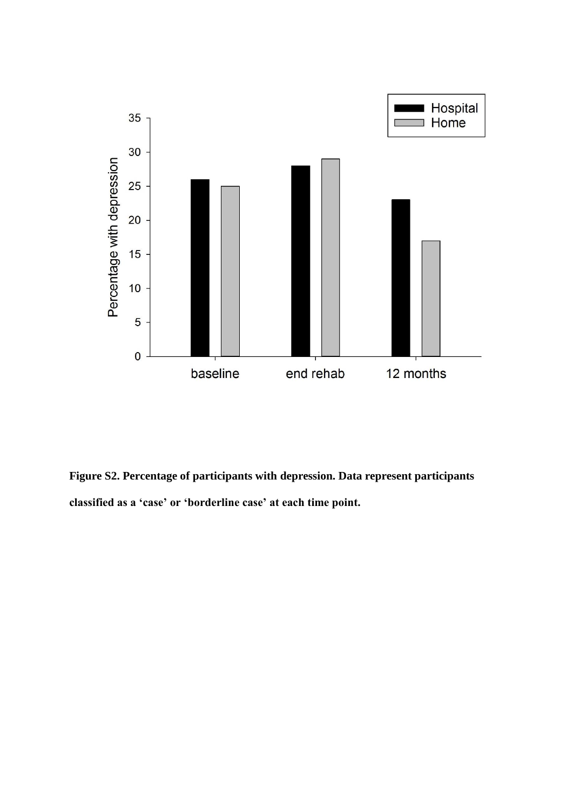

**Figure S2. Percentage of participants with depression. Data represent participants classified as a 'case' or 'borderline case' at each time point.**